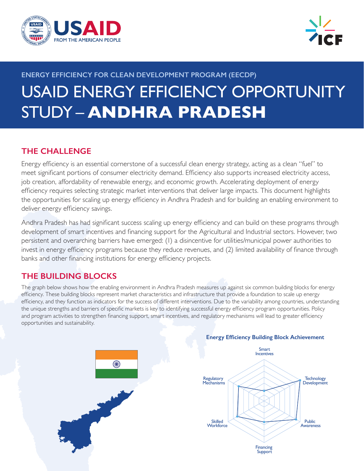



# **ENERGY EFFICIENCY FOR CLEAN DEVELOPMENT PROGRAM (EECDP)** USAID ENERGY EFFICIENCY OPPORTUNITY STUDY – **ANDHRA PRADESH**

## **THE CHALLENGE**

Energy efficiency is an essential cornerstone of a successful clean energy strategy, acting as a clean "fuel" to meet significant portions of consumer electricity demand. Efficiency also supports increased electricity access, job creation, affordability of renewable energy, and economic growth. Accelerating deployment of energy efficiency requires selecting strategic market interventions that deliver large impacts. This document highlights the opportunities for scaling up energy efficiency in Andhra Pradesh and for building an enabling environment to deliver energy efficiency savings.

Andhra Pradesh has had significant success scaling up energy efficiency and can build on these programs through development of smart incentives and financing support for the Agricultural and Industrial sectors. However, two persistent and overarching barriers have emerged: (1) a disincentive for utilities/municipal power authorities to invest in energy efficiency programs because they reduce revenues, and (2) limited availability of finance through banks and other financing institutions for energy efficiency projects.

## **THE BUILDING BLOCKS**

The graph below shows how the enabling environment in Andhra Pradesh measures up against six common building blocks for energy efficiency. These building blocks represent market characteristics and infrastructure that provide a foundation to scale up energy efficiency, and they function as indicators for the success of different interventions. Due to the variability among countries, understanding the unique strengths and barriers of specific markets is key to identifying successful energy efficiency program opportunities. Policy and program activities to strengthen financing support, smart incentives, and regulatory mechanisms will lead to greater efficiency opportunities and sustainability.



#### **Energy Efficiency Building Block Achievement**